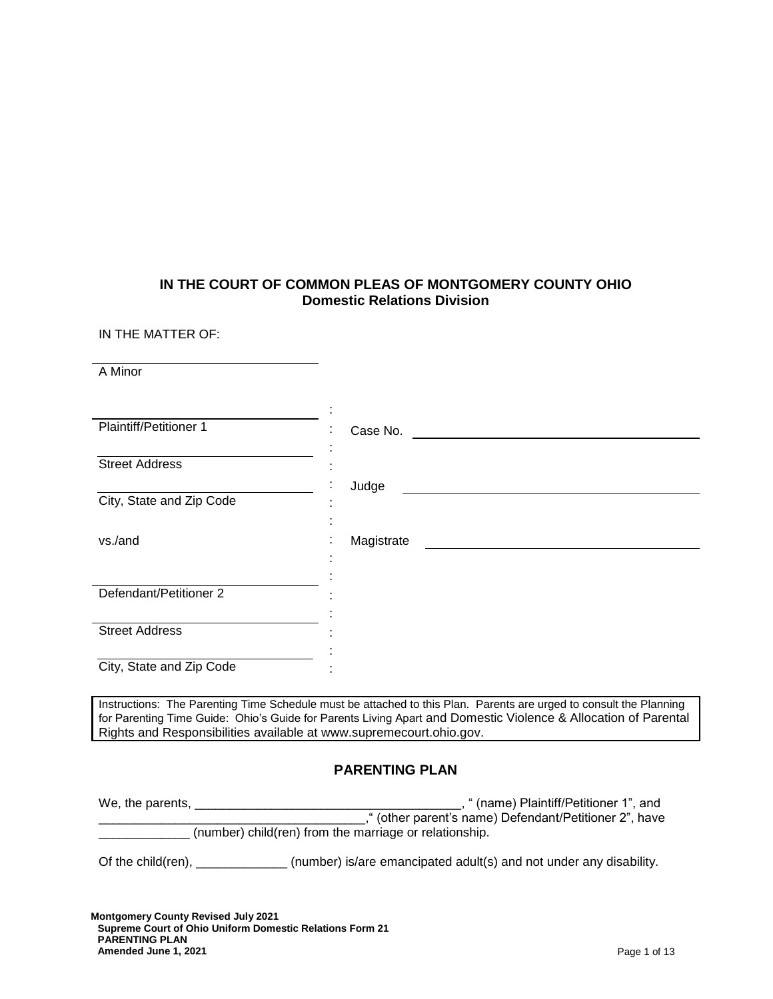# **IN THE COURT OF COMMON PLEAS OF MONTGOMERY COUNTY OHIO Domestic Relations Division**

IN THE MATTER OF:

A Minor

| Plaintiff/Petitioner 1   | Case No.<br>٠        |
|--------------------------|----------------------|
|                          |                      |
| <b>Street Address</b>    |                      |
|                          | Judge<br>٠.          |
| City, State and Zip Code |                      |
|                          | ٠                    |
| vs./and                  | Magistrate<br>٠<br>٠ |
|                          |                      |
|                          |                      |
| Defendant/Petitioner 2   |                      |
|                          |                      |
| <b>Street Address</b>    |                      |
|                          |                      |
| City, State and Zip Code |                      |
|                          |                      |

Instructions: The Parenting Time Schedule must be attached to this Plan. Parents are urged to consult the Planning for Parenting Time Guide: Ohio's Guide for Parents Living Apart and [Domestic Violence & Allocation](https://www.supremecourt.ohio.gov/JCS/domesticViolence/publications/DVAllocationParentalRights.pdf) of Parental [Rights and Responsibilities](https://www.supremecourt.ohio.gov/JCS/domesticViolence/publications/DVAllocationParentalRights.pdf) available at [www.supremecourt.ohio.gov.](http://www.supremecourt.ohio.gov/)

# **PARENTING PLAN**

| We, the parents,                                       | " (name) Plaintiff/Petitioner 1", and                  |  |
|--------------------------------------------------------|--------------------------------------------------------|--|
|                                                        | ," (other parent's name) Defendant/Petitioner 2", have |  |
| (number) child(ren) from the marriage or relationship. |                                                        |  |
|                                                        |                                                        |  |

Of the child(ren), \_\_\_\_\_\_\_\_\_\_\_\_\_\_\_ (number) is/are emancipated adult(s) and not under any disability.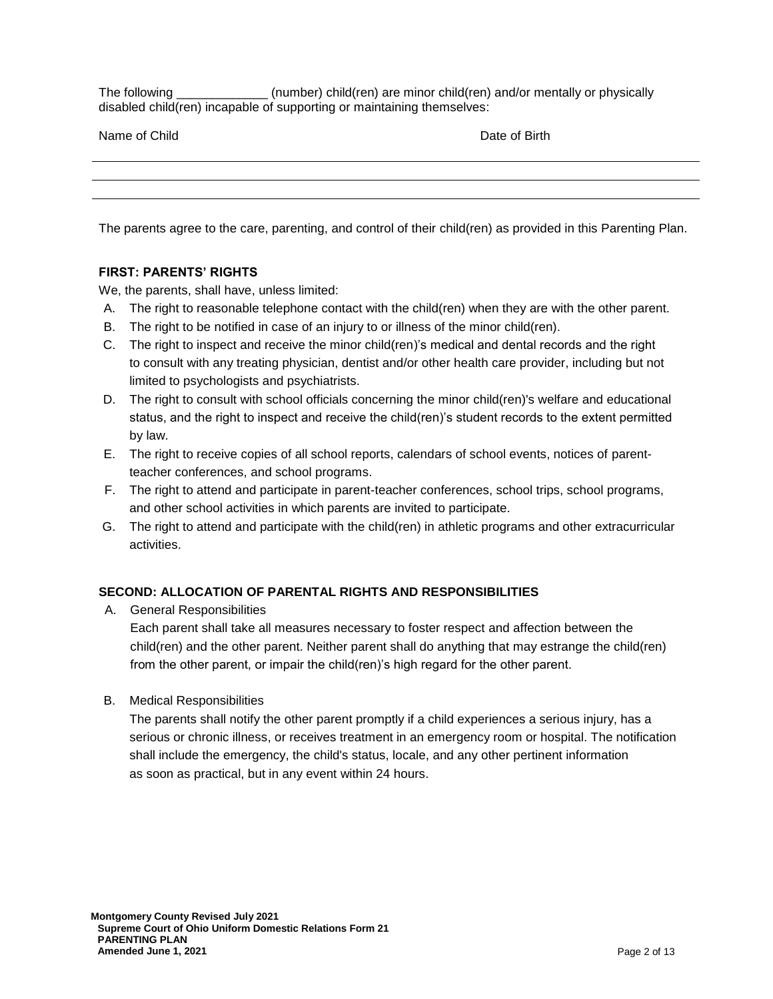The following \_\_\_\_\_\_\_\_\_\_\_\_\_ (number) child(ren) are minor child(ren) and/or mentally or physically disabled child(ren) incapable of supporting or maintaining themselves:

Name of Child **Date of Birth** Date of Birth

The parents agree to the care, parenting, and control of their child(ren) as provided in this Parenting Plan.

### **FIRST: PARENTS' RIGHTS**

We, the parents, shall have, unless limited:

- A. The right to reasonable telephone contact with the child(ren) when they are with the other parent.
- B. The right to be notified in case of an injury to or illness of the minor child(ren).
- C. The right to inspect and receive the minor child(ren)'s medical and dental records and the right to consult with any treating physician, dentist and/or other health care provider, including but not limited to psychologists and psychiatrists.
- D. The right to consult with school officials concerning the minor child(ren)'s welfare and educational status, and the right to inspect and receive the child(ren)'s student records to the extent permitted by law.
- E. The right to receive copies of all school reports, calendars of school events, notices of parentteacher conferences, and school programs.
- F. The right to attend and participate in parent-teacher conferences, school trips, school programs, and other school activities in which parents are invited to participate.
- G. The right to attend and participate with the child(ren) in athletic programs and other extracurricular activities.

#### **SECOND: ALLOCATION OF PARENTAL RIGHTS AND RESPONSIBILITIES**

A. General Responsibilities

Each parent shall take all measures necessary to foster respect and affection between the child(ren) and the other parent. Neither parent shall do anything that may estrange the child(ren) from the other parent, or impair the child(ren)'s high regard for the other parent.

B. Medical Responsibilities

The parents shall notify the other parent promptly if a child experiences a serious injury, has a serious or chronic illness, or receives treatment in an emergency room or hospital. The notification shall include the emergency, the child's status, locale, and any other pertinent information as soon as practical, but in any event within 24 hours.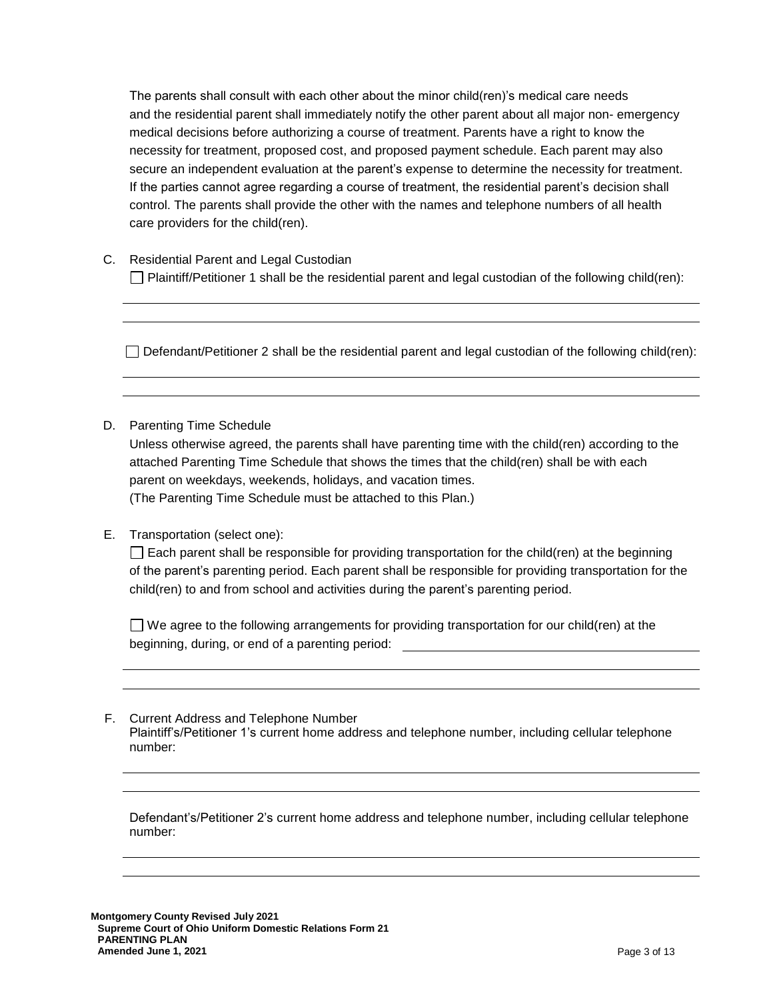The parents shall consult with each other about the minor child(ren)'s medical care needs and the residential parent shall immediately notify the other parent about all major non- emergency medical decisions before authorizing a course of treatment. Parents have a right to know the necessity for treatment, proposed cost, and proposed payment schedule. Each parent may also secure an independent evaluation at the parent's expense to determine the necessity for treatment. If the parties cannot agree regarding a course of treatment, the residential parent's decision shall control. The parents shall provide the other with the names and telephone numbers of all health care providers for the child(ren).

C. Residential Parent and Legal Custodian  $\Box$  Plaintiff/Petitioner 1 shall be the residential parent and legal custodian of the following child(ren):

 $\Box$  Defendant/Petitioner 2 shall be the residential parent and legal custodian of the following child(ren):

#### D. Parenting Time Schedule

Unless otherwise agreed, the parents shall have parenting time with the child(ren) according to the attached Parenting Time Schedule that shows the times that the child(ren) shall be with each parent on weekdays, weekends, holidays, and vacation times. (The Parenting Time Schedule must be attached to this Plan.)

# E. Transportation (select one):

 $\Box$  Each parent shall be responsible for providing transportation for the child(ren) at the beginning of the parent's parenting period. Each parent shall be responsible for providing transportation for the child(ren) to and from school and activities during the parent's parenting period.

 $\Box$  We agree to the following arrangements for providing transportation for our child(ren) at the beginning, during, or end of a parenting period:

#### F. Current Address and Telephone Number Plaintiff's/Petitioner 1's current home address and telephone number, including cellular telephone number:

Defendant's/Petitioner 2's current home address and telephone number, including cellular telephone number: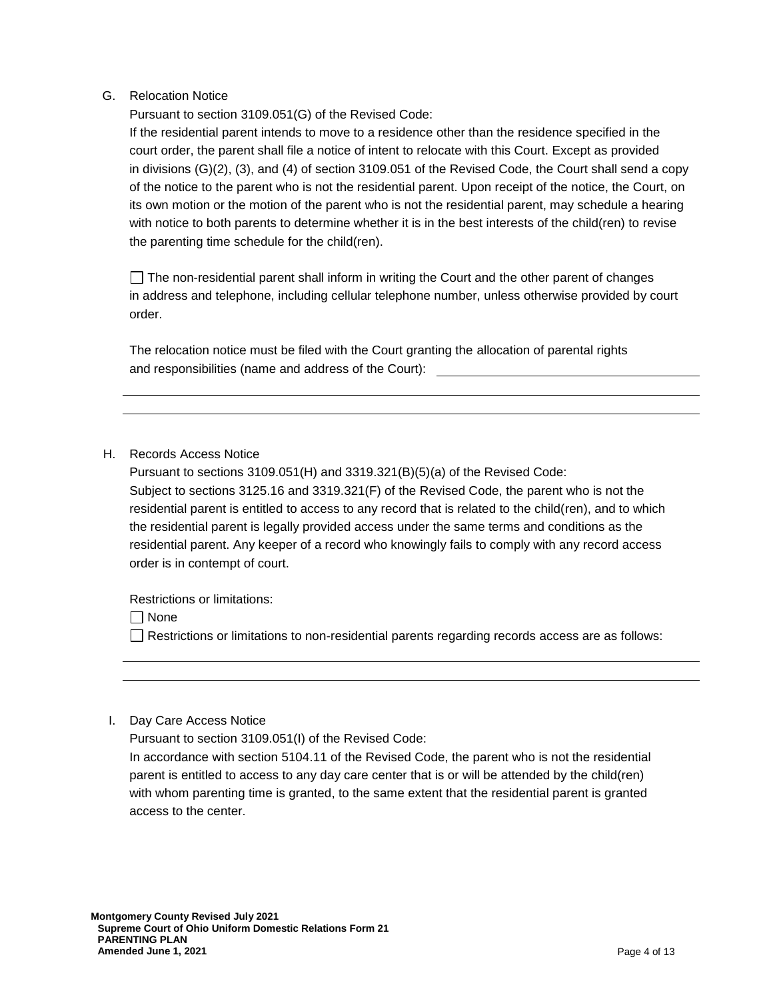G. Relocation Notice

Pursuant to section 3109.051(G) of the Revised Code:

If the residential parent intends to move to a residence other than the residence specified in the court order, the parent shall file a notice of intent to relocate with this Court. Except as provided in divisions (G)(2), (3), and (4) of section 3109.051 of the Revised Code, the Court shall send a copy of the notice to the parent who is not the residential parent. Upon receipt of the notice, the Court, on its own motion or the motion of the parent who is not the residential parent, may schedule a hearing with notice to both parents to determine whether it is in the best interests of the child(ren) to revise the parenting time schedule for the child(ren).

 $\Box$  The non-residential parent shall inform in writing the Court and the other parent of changes in address and telephone, including cellular telephone number, unless otherwise provided by court order.

The relocation notice must be filed with the Court granting the allocation of parental rights and responsibilities (name and address of the Court):

#### H. Records Access Notice

Pursuant to sections 3109.051(H) and 3319.321(B)(5)(a) of the Revised Code: Subject to sections 3125.16 and 3319.321(F) of the Revised Code, the parent who is not the residential parent is entitled to access to any record that is related to the child(ren), and to which the residential parent is legally provided access under the same terms and conditions as the residential parent. Any keeper of a record who knowingly fails to comply with any record access order is in contempt of court.

Restrictions or limitations:

None

 $\Box$  Restrictions or limitations to non-residential parents regarding records access are as follows:

#### I. Day Care Access Notice

Pursuant to section 3109.051(I) of the Revised Code:

In accordance with section 5104.11 of the Revised Code, the parent who is not the residential parent is entitled to access to any day care center that is or will be attended by the child(ren) with whom parenting time is granted, to the same extent that the residential parent is granted access to the center.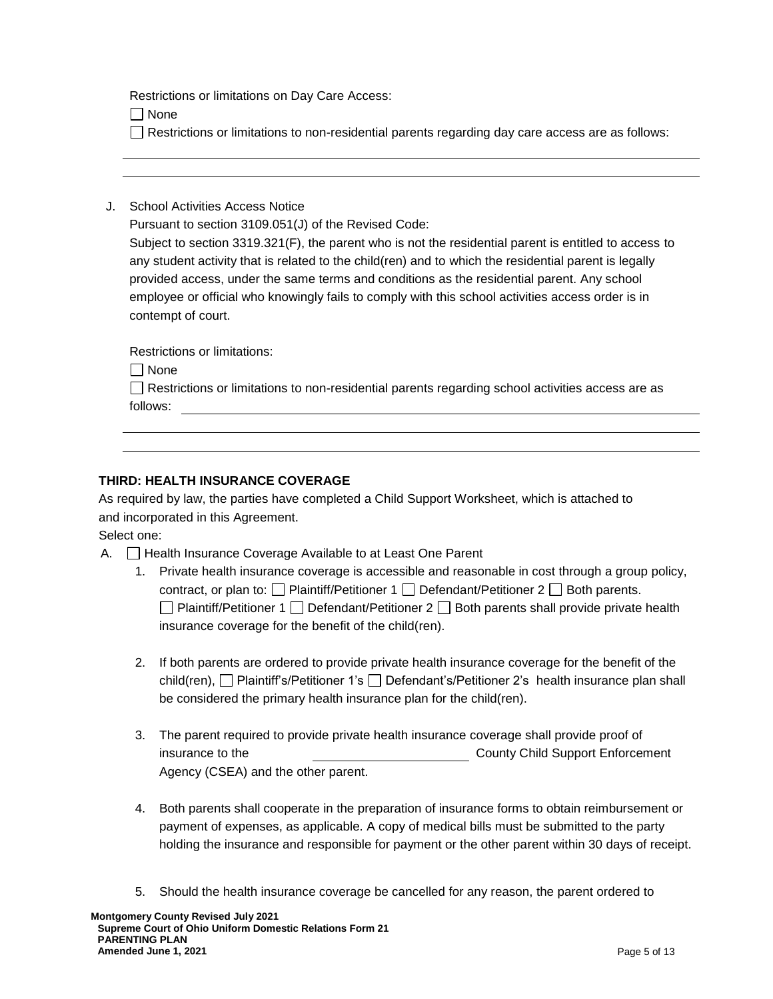Restrictions or limitations on Day Care Access:

 $\Box$  None

- Restrictions or limitations to non-residential parents regarding day care access are as follows:
- J. School Activities Access Notice

Pursuant to section 3109.051(J) of the Revised Code: Subject to section 3319.321(F), the parent who is not the residential parent is entitled to access to any student activity that is related to the child(ren) and to which the residential parent is legally provided access, under the same terms and conditions as the residential parent. Any school employee or official who knowingly fails to comply with this school activities access order is in contempt of court.

Restrictions or limitations:

None

Restrictions or limitations to non-residential parents regarding school activities access are as follows:

# **THIRD: HEALTH INSURANCE COVERAGE**

As required by law, the parties have completed a Child Support Worksheet, which is attached to and incorporated in this Agreement.

Select one:

- A.  $\Box$  Health Insurance Coverage Available to at Least One Parent
	- 1. Private health insurance coverage is accessible and reasonable in cost through a group policy, contract, or plan to:  $\Box$  Plaintiff/Petitioner 1  $\Box$  Defendant/Petitioner 2  $\Box$  Both parents.  $\Box$  Plaintiff/Petitioner 1  $\Box$  Defendant/Petitioner 2  $\Box$  Both parents shall provide private health insurance coverage for the benefit of the child(ren).
	- 2. If both parents are ordered to provide private health insurance coverage for the benefit of the child(ren), D Plaintiff's/Petitioner 1's D Defendant's/Petitioner 2's health insurance plan shall be considered the primary health insurance plan for the child(ren).
	- 3. The parent required to provide private health insurance coverage shall provide proof of insurance to the County Child Support Enforcement Agency (CSEA) and the other parent.
	- 4. Both parents shall cooperate in the preparation of insurance forms to obtain reimbursement or payment of expenses, as applicable. A copy of medical bills must be submitted to the party holding the insurance and responsible for payment or the other parent within 30 days of receipt.
	- 5. Should the health insurance coverage be cancelled for any reason, the parent ordered to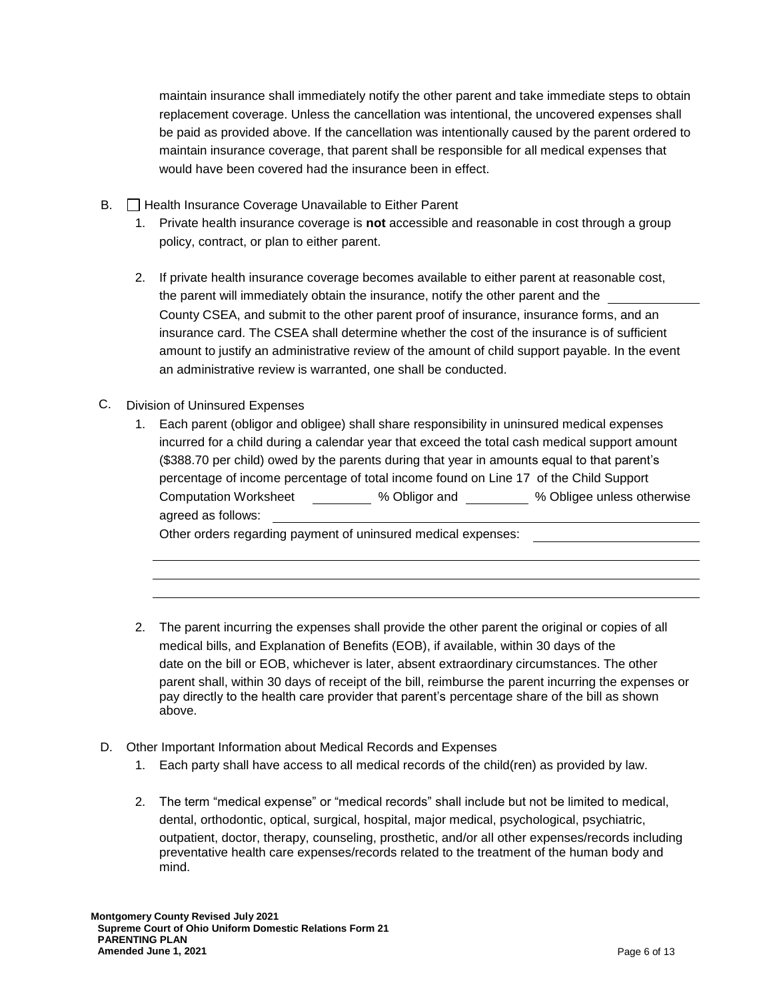maintain insurance shall immediately notify the other parent and take immediate steps to obtain replacement coverage. Unless the cancellation was intentional, the uncovered expenses shall be paid as provided above. If the cancellation was intentionally caused by the parent ordered to maintain insurance coverage, that parent shall be responsible for all medical expenses that would have been covered had the insurance been in effect.

- B. **Health Insurance Coverage Unavailable to Either Parent** 
	- 1. Private health insurance coverage is **not** accessible and reasonable in cost through a group policy, contract, or plan to either parent.
	- 2. If private health insurance coverage becomes available to either parent at reasonable cost, the parent will immediately obtain the insurance, notify the other parent and the County CSEA, and submit to the other parent proof of insurance, insurance forms, and an insurance card. The CSEA shall determine whether the cost of the insurance is of sufficient amount to justify an administrative review of the amount of child support payable. In the event an administrative review is warranted, one shall be conducted.
- C. Division of Uninsured Expenses
	- 1. Each parent (obligor and obligee) shall share responsibility in uninsured medical expenses incurred for a child during a calendar year that exceed the total cash medical support amount (\$388.70 per child) owed by the parents during that year in amounts equal to that parent's percentage of income percentage of total income found on Line 17 of the Child Support Computation Worksheet % Obligor and % Obligee unless otherwise agreed as follows:

Other orders regarding payment of uninsured medical expenses:

- 2. The parent incurring the expenses shall provide the other parent the original or copies of all medical bills, and Explanation of Benefits (EOB), if available, within 30 days of the date on the bill or EOB, whichever is later, absent extraordinary circumstances. The other parent shall, within 30 days of receipt of the bill, reimburse the parent incurring the expenses or pay directly to the health care provider that parent's percentage share of the bill as shown above.
- D. Other Important Information about Medical Records and Expenses
	- 1. Each party shall have access to all medical records of the child(ren) as provided by law.
	- 2. The term "medical expense" or "medical records" shall include but not be limited to medical, dental, orthodontic, optical, surgical, hospital, major medical, psychological, psychiatric, outpatient, doctor, therapy, counseling, prosthetic, and/or all other expenses/records including preventative health care expenses/records related to the treatment of the human body and mind.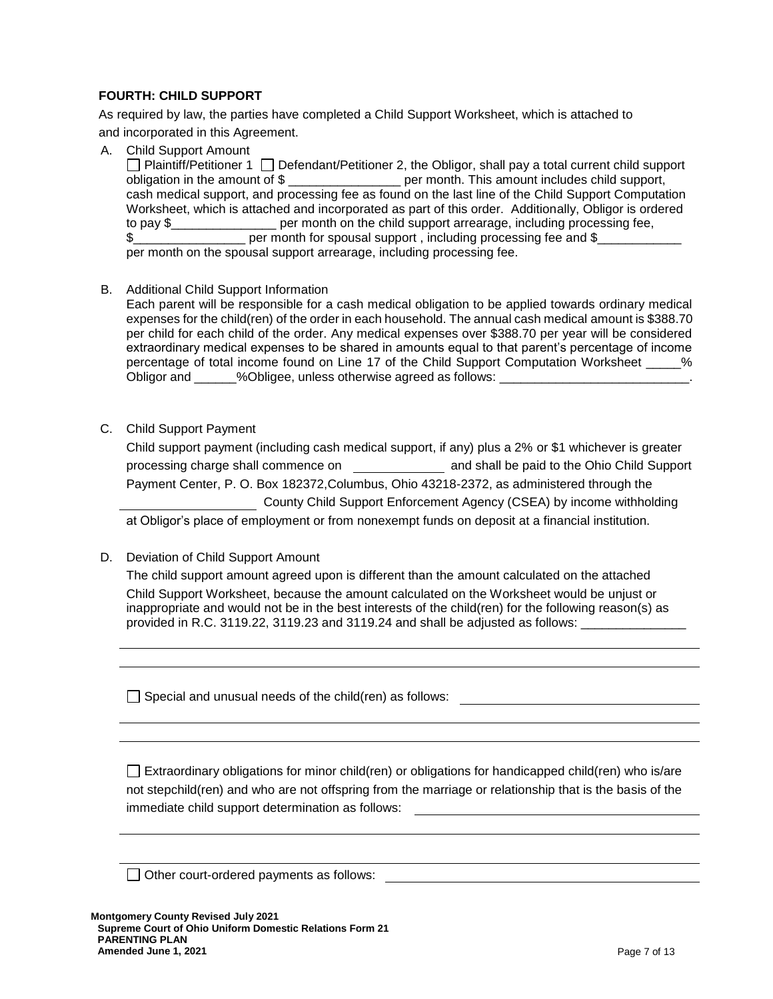# **FOURTH: CHILD SUPPORT**

As required by law, the parties have completed a Child Support Worksheet, which is attached to and incorporated in this Agreement.

A. Child Support Amount

**Plaintiff/Petitioner 1** Defendant/Petitioner 2, the Obligor, shall pay a total current child support obligation in the amount of \$ \_\_\_\_\_\_\_\_\_\_\_\_\_\_\_\_\_\_\_ per month. This amount includes child support, cash medical support, and processing fee as found on the last line of the Child Support Computation Worksheet, which is attached and incorporated as part of this order. Additionally, Obligor is ordered to pay \$\_\_\_\_\_\_\_\_\_\_\_\_\_\_\_ per month on the child support arrearage, including processing fee, \$ per month for spousal support, including processing fee and \$ per month on the spousal support arrearage, including processing fee.

B. Additional Child Support Information

Each parent will be responsible for a cash medical obligation to be applied towards ordinary medical expenses for the child(ren) of the order in each household. The annual cash medical amount is \$388.70 per child for each child of the order. Any medical expenses over \$388.70 per year will be considered extraordinary medical expenses to be shared in amounts equal to that parent's percentage of income percentage of total income found on Line 17 of the Child Support Computation Worksheet  $\frac{1}{2}$ % Obligor and  $\%$ Obligee, unless otherwise agreed as follows:

C. Child Support Payment

| Child support payment (including cash medical support, if any) plus a 2% or \$1 whichever is greater |                                                                      |  |
|------------------------------------------------------------------------------------------------------|----------------------------------------------------------------------|--|
| processing charge shall commence on                                                                  | and shall be paid to the Ohio Child Support                          |  |
| Payment Center, P. O. Box 182372, Columbus, Ohio 43218-2372, as administered through the             |                                                                      |  |
|                                                                                                      | County Child Support Enforcement Agency (CSEA) by income withholding |  |
| at Obligor's place of employment or from nonexempt funds on deposit at a financial institution.      |                                                                      |  |

D. Deviation of Child Support Amount

The child support amount agreed upon is different than the amount calculated on the attached Child Support Worksheet, because the amount calculated on the Worksheet would be unjust or inappropriate and would not be in the best interests of the child(ren) for the following reason(s) as provided in R.C. 3119.22, 3119.23 and 3119.24 and shall be adjusted as follows:

 $\Box$  Special and unusual needs of the child(ren) as follows:

 $\Box$  Extraordinary obligations for minor child(ren) or obligations for handicapped child(ren) who is/are not stepchild(ren) and who are not offspring from the marriage or relationship that is the basis of the immediate child support determination as follows:

 $\Box$  Other court-ordered payments as follows: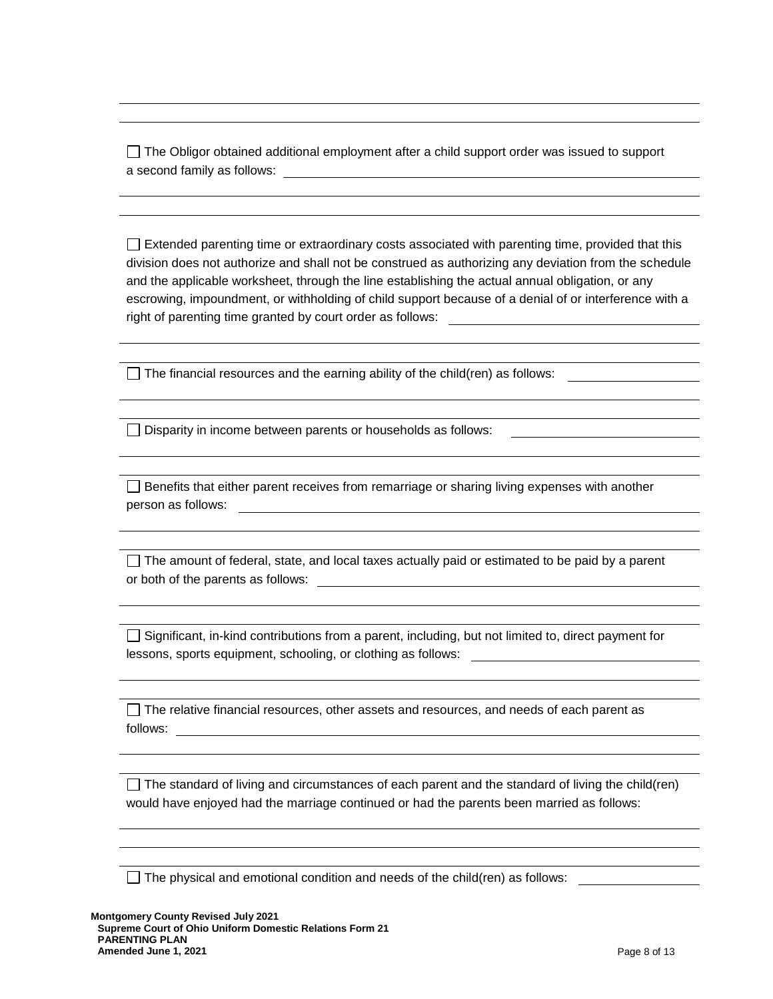$\Box$  The Obligor obtained additional employment after a child support order was issued to support a second family as follows:

 $\Box$  Extended parenting time or extraordinary costs associated with parenting time, provided that this division does not authorize and shall not be construed as authorizing any deviation from the schedule and the applicable worksheet, through the line establishing the actual annual obligation, or any escrowing, impoundment, or withholding of child support because of a denial of or interference with a right of parenting time granted by court order as follows:

 $\Box$  The financial resources and the earning ability of the child(ren) as follows:

 $\Box$  Disparity in income between parents or households as follows:

 $\Box$  Benefits that either parent receives from remarriage or sharing living expenses with another person as follows:

 $\Box$  The amount of federal, state, and local taxes actually paid or estimated to be paid by a parent or both of the parents as follows:

 $\Box$  Significant, in-kind contributions from a parent, including, but not limited to, direct payment for lessons, sports equipment, schooling, or clothing as follows:

 $\Box$  The relative financial resources, other assets and resources, and needs of each parent as follows:

 $\Box$  The standard of living and circumstances of each parent and the standard of living the child(ren) would have enjoyed had the marriage continued or had the parents been married as follows:

 $\Box$  The physical and emotional condition and needs of the child(ren) as follows: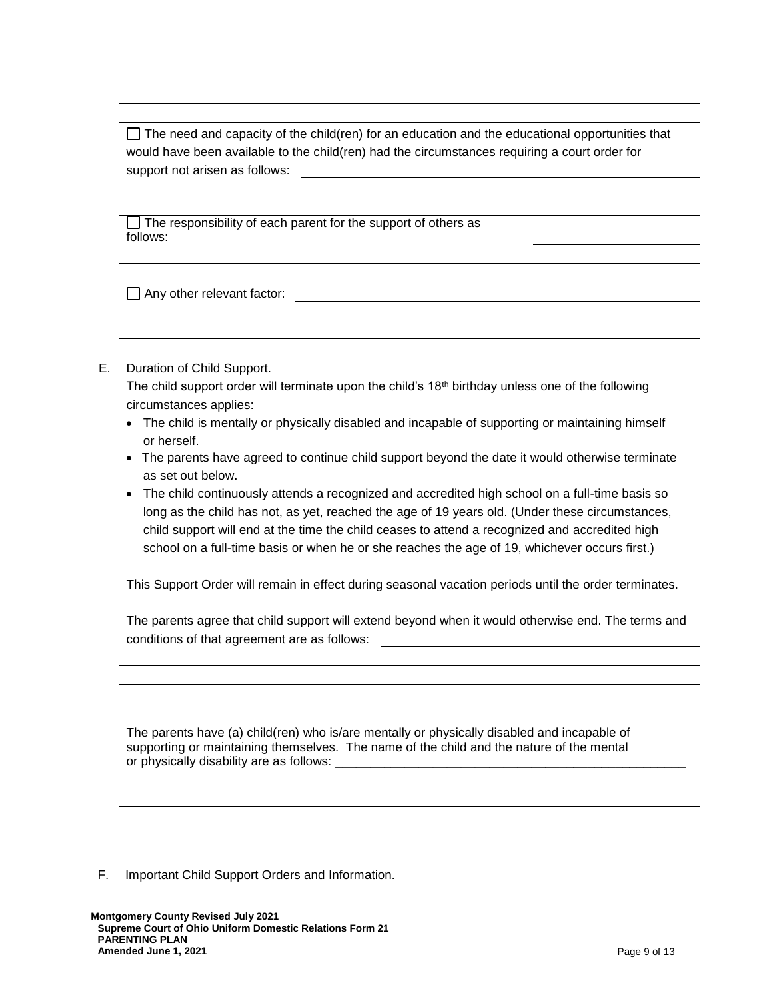$\Box$  The need and capacity of the child(ren) for an education and the educational opportunities that would have been available to the child(ren) had the circumstances requiring a court order for support not arisen as follows:

The responsibility of each parent for the support of others as follows:

Any other relevant factor:<br>
Any other relevant factor:

# E. Duration of Child Support.

The child support order will terminate upon the child's  $18<sup>th</sup>$  birthday unless one of the following circumstances applies:

- The child is mentally or physically disabled and incapable of supporting or maintaining himself or herself.
- The parents have agreed to continue child support beyond the date it would otherwise terminate as set out below.
- The child continuously attends a recognized and accredited high school on a full-time basis so long as the child has not, as yet, reached the age of 19 years old. (Under these circumstances, child support will end at the time the child ceases to attend a recognized and accredited high school on a full-time basis or when he or she reaches the age of 19, whichever occurs first.)

This Support Order will remain in effect during seasonal vacation periods until the order terminates.

The parents agree that child support will extend beyond when it would otherwise end. The terms and conditions of that agreement are as follows:

The parents have (a) child(ren) who is/are mentally or physically disabled and incapable of supporting or maintaining themselves. The name of the child and the nature of the mental or physically disability are as follows: \_\_\_\_\_\_\_

F. Important Child Support Orders and Information.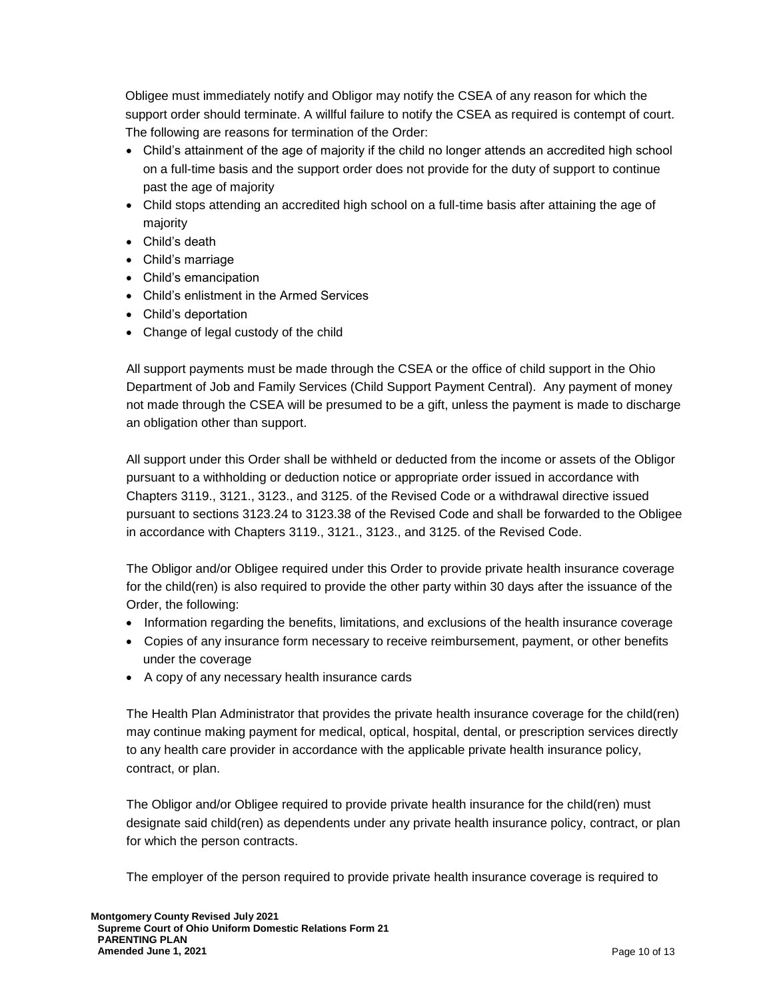Obligee must immediately notify and Obligor may notify the CSEA of any reason for which the support order should terminate. A willful failure to notify the CSEA as required is contempt of court. The following are reasons for termination of the Order:

- Child's attainment of the age of majority if the child no longer attends an accredited high school on a full-time basis and the support order does not provide for the duty of support to continue past the age of majority
- Child stops attending an accredited high school on a full-time basis after attaining the age of majority
- Child's death
- Child's marriage
- Child's emancipation
- Child's enlistment in the Armed Services
- Child's deportation
- Change of legal custody of the child

All support payments must be made through the CSEA or the office of child support in the Ohio Department of Job and Family Services (Child Support Payment Central). Any payment of money not made through the CSEA will be presumed to be a gift, unless the payment is made to discharge an obligation other than support.

All support under this Order shall be withheld or deducted from the income or assets of the Obligor pursuant to a withholding or deduction notice or appropriate order issued in accordance with Chapters 3119., 3121., 3123., and 3125. of the Revised Code or a withdrawal directive issued pursuant to sections 3123.24 to 3123.38 of the Revised Code and shall be forwarded to the Obligee in accordance with Chapters 3119., 3121., 3123., and 3125. of the Revised Code.

The Obligor and/or Obligee required under this Order to provide private health insurance coverage for the child(ren) is also required to provide the other party within 30 days after the issuance of the Order, the following:

- Information regarding the benefits, limitations, and exclusions of the health insurance coverage
- Copies of any insurance form necessary to receive reimbursement, payment, or other benefits under the coverage
- A copy of any necessary health insurance cards

The Health Plan Administrator that provides the private health insurance coverage for the child(ren) may continue making payment for medical, optical, hospital, dental, or prescription services directly to any health care provider in accordance with the applicable private health insurance policy, contract, or plan.

The Obligor and/or Obligee required to provide private health insurance for the child(ren) must designate said child(ren) as dependents under any private health insurance policy, contract, or plan for which the person contracts.

The employer of the person required to provide private health insurance coverage is required to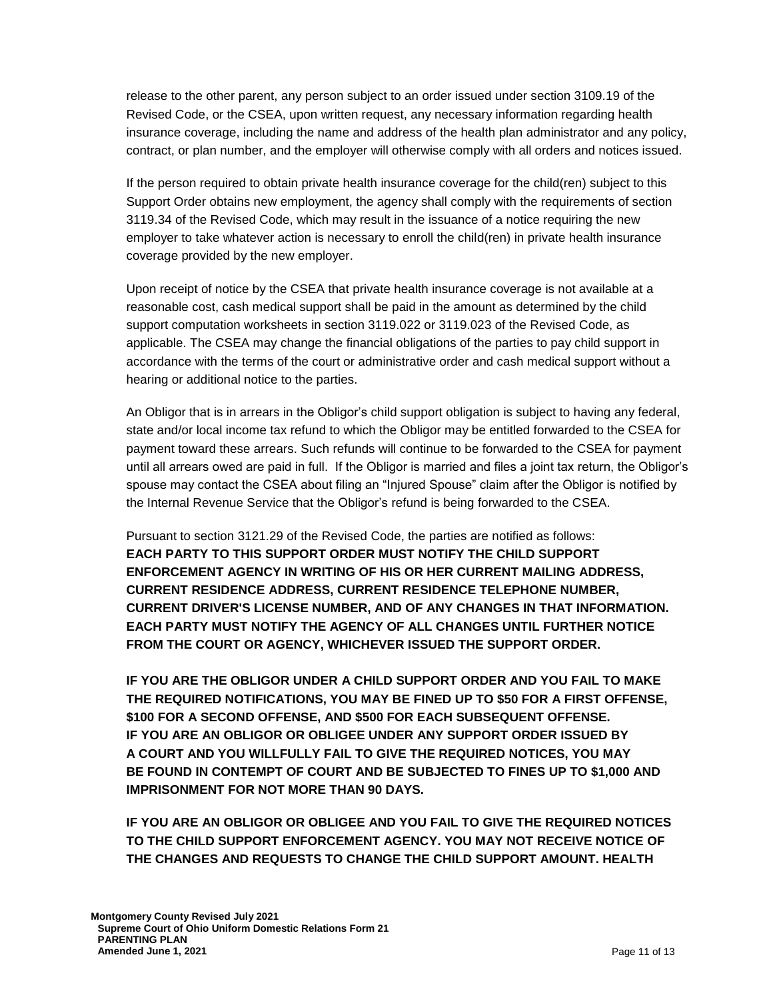release to the other parent, any person subject to an order issued under section 3109.19 of the Revised Code, or the CSEA, upon written request, any necessary information regarding health insurance coverage, including the name and address of the health plan administrator and any policy, contract, or plan number, and the employer will otherwise comply with all orders and notices issued.

If the person required to obtain private health insurance coverage for the child(ren) subject to this Support Order obtains new employment, the agency shall comply with the requirements of section 3119.34 of the Revised Code, which may result in the issuance of a notice requiring the new employer to take whatever action is necessary to enroll the child(ren) in private health insurance coverage provided by the new employer.

Upon receipt of notice by the CSEA that private health insurance coverage is not available at a reasonable cost, cash medical support shall be paid in the amount as determined by the child support computation worksheets in section 3119.022 or 3119.023 of the Revised Code, as applicable. The CSEA may change the financial obligations of the parties to pay child support in accordance with the terms of the court or administrative order and cash medical support without a hearing or additional notice to the parties.

An Obligor that is in arrears in the Obligor's child support obligation is subject to having any federal, state and/or local income tax refund to which the Obligor may be entitled forwarded to the CSEA for payment toward these arrears. Such refunds will continue to be forwarded to the CSEA for payment until all arrears owed are paid in full. If the Obligor is married and files a joint tax return, the Obligor's spouse may contact the CSEA about filing an "Injured Spouse" claim after the Obligor is notified by the Internal Revenue Service that the Obligor's refund is being forwarded to the CSEA.

Pursuant to section 3121.29 of the Revised Code, the parties are notified as follows: **EACH PARTY TO THIS SUPPORT ORDER MUST NOTIFY THE CHILD SUPPORT ENFORCEMENT AGENCY IN WRITING OF HIS OR HER CURRENT MAILING ADDRESS, CURRENT RESIDENCE ADDRESS, CURRENT RESIDENCE TELEPHONE NUMBER, CURRENT DRIVER'S LICENSE NUMBER, AND OF ANY CHANGES IN THAT INFORMATION. EACH PARTY MUST NOTIFY THE AGENCY OF ALL CHANGES UNTIL FURTHER NOTICE FROM THE COURT OR AGENCY, WHICHEVER ISSUED THE SUPPORT ORDER.**

**IF YOU ARE THE OBLIGOR UNDER A CHILD SUPPORT ORDER AND YOU FAIL TO MAKE THE REQUIRED NOTIFICATIONS, YOU MAY BE FINED UP TO \$50 FOR A FIRST OFFENSE, \$100 FOR A SECOND OFFENSE, AND \$500 FOR EACH SUBSEQUENT OFFENSE. IF YOU ARE AN OBLIGOR OR OBLIGEE UNDER ANY SUPPORT ORDER ISSUED BY A COURT AND YOU WILLFULLY FAIL TO GIVE THE REQUIRED NOTICES, YOU MAY BE FOUND IN CONTEMPT OF COURT AND BE SUBJECTED TO FINES UP TO \$1,000 AND IMPRISONMENT FOR NOT MORE THAN 90 DAYS.**

**IF YOU ARE AN OBLIGOR OR OBLIGEE AND YOU FAIL TO GIVE THE REQUIRED NOTICES TO THE CHILD SUPPORT ENFORCEMENT AGENCY. YOU MAY NOT RECEIVE NOTICE OF THE CHANGES AND REQUESTS TO CHANGE THE CHILD SUPPORT AMOUNT. HEALTH**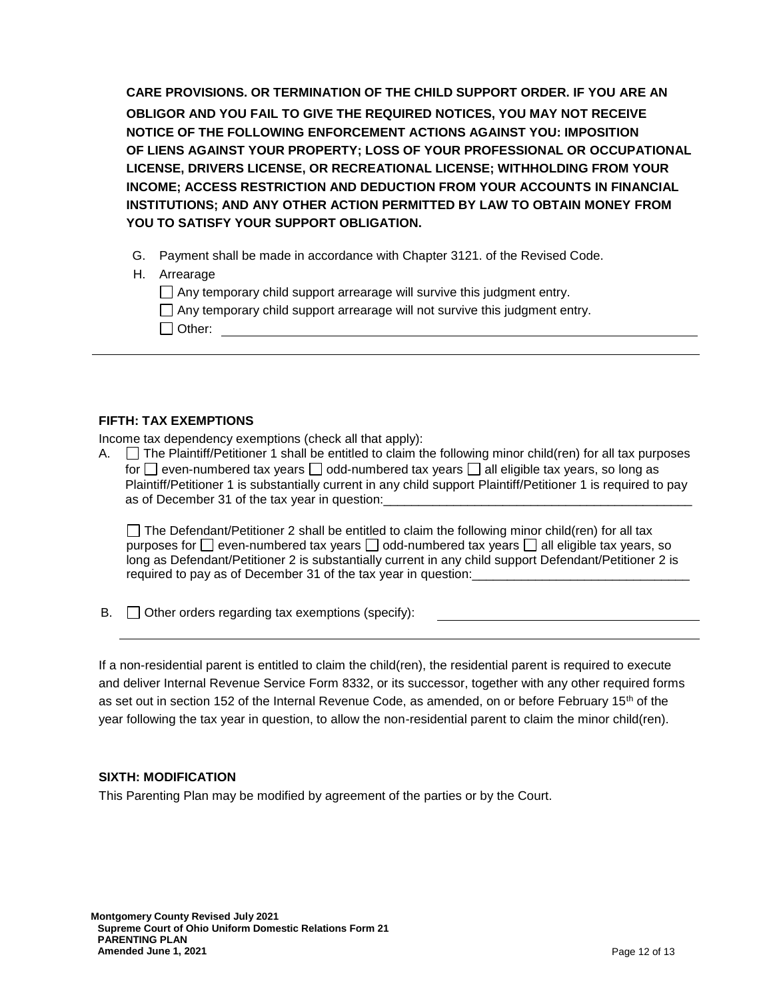**CARE PROVISIONS. OR TERMINATION OF THE CHILD SUPPORT ORDER. IF YOU ARE AN OBLIGOR AND YOU FAIL TO GIVE THE REQUIRED NOTICES, YOU MAY NOT RECEIVE NOTICE OF THE FOLLOWING ENFORCEMENT ACTIONS AGAINST YOU: IMPOSITION OF LIENS AGAINST YOUR PROPERTY; LOSS OF YOUR PROFESSIONAL OR OCCUPATIONAL LICENSE, DRIVERS LICENSE, OR RECREATIONAL LICENSE; WITHHOLDING FROM YOUR INCOME; ACCESS RESTRICTION AND DEDUCTION FROM YOUR ACCOUNTS IN FINANCIAL INSTITUTIONS; AND ANY OTHER ACTION PERMITTED BY LAW TO OBTAIN MONEY FROM YOU TO SATISFY YOUR SUPPORT OBLIGATION.**

- G. Payment shall be made in accordance with Chapter 3121. of the Revised Code.
- H. Arrearage
	- $\Box$  Any temporary child support arrearage will survive this judgment entry.

| $\Box$ Any temporary child support arrearage will not survive this judgment entry. |  |
|------------------------------------------------------------------------------------|--|
| $\Box$ Other:                                                                      |  |

Income tax dependency exemptions (check all that apply):

A.  $\Box$  The Plaintiff/Petitioner 1 shall be entitled to claim the following minor child(ren) for all tax purposes for  $\Box$  even-numbered tax years  $\Box$  odd-numbered tax years  $\Box$  all eligible tax years, so long as Plaintiff/Petitioner 1 is substantially current in any child support Plaintiff/Petitioner 1 is required to pay as of December 31 of the tax year in question:

 $\Box$  The Defendant/Petitioner 2 shall be entitled to claim the following minor child(ren) for all tax purposes for  $\Box$  even-numbered tax years  $\Box$  odd-numbered tax years  $\Box$  all eligible tax years, so long as Defendant/Petitioner 2 is substantially current in any child support Defendant/Petitioner 2 is required to pay as of December 31 of the tax year in question:

 $\mathsf{B}$ .  $\Box$  Other orders regarding tax exemptions (specify):

If a non-residential parent is entitled to claim the child(ren), the residential parent is required to execute and deliver Internal Revenue Service Form 8332, or its successor, together with any other required forms as set out in section 152 of the Internal Revenue Code, as amended, on or before February 15<sup>th</sup> of the year following the tax year in question, to allow the non-residential parent to claim the minor child(ren).

# **SIXTH: MODIFICATION**

This Parenting Plan may be modified by agreement of the parties or by the Court.